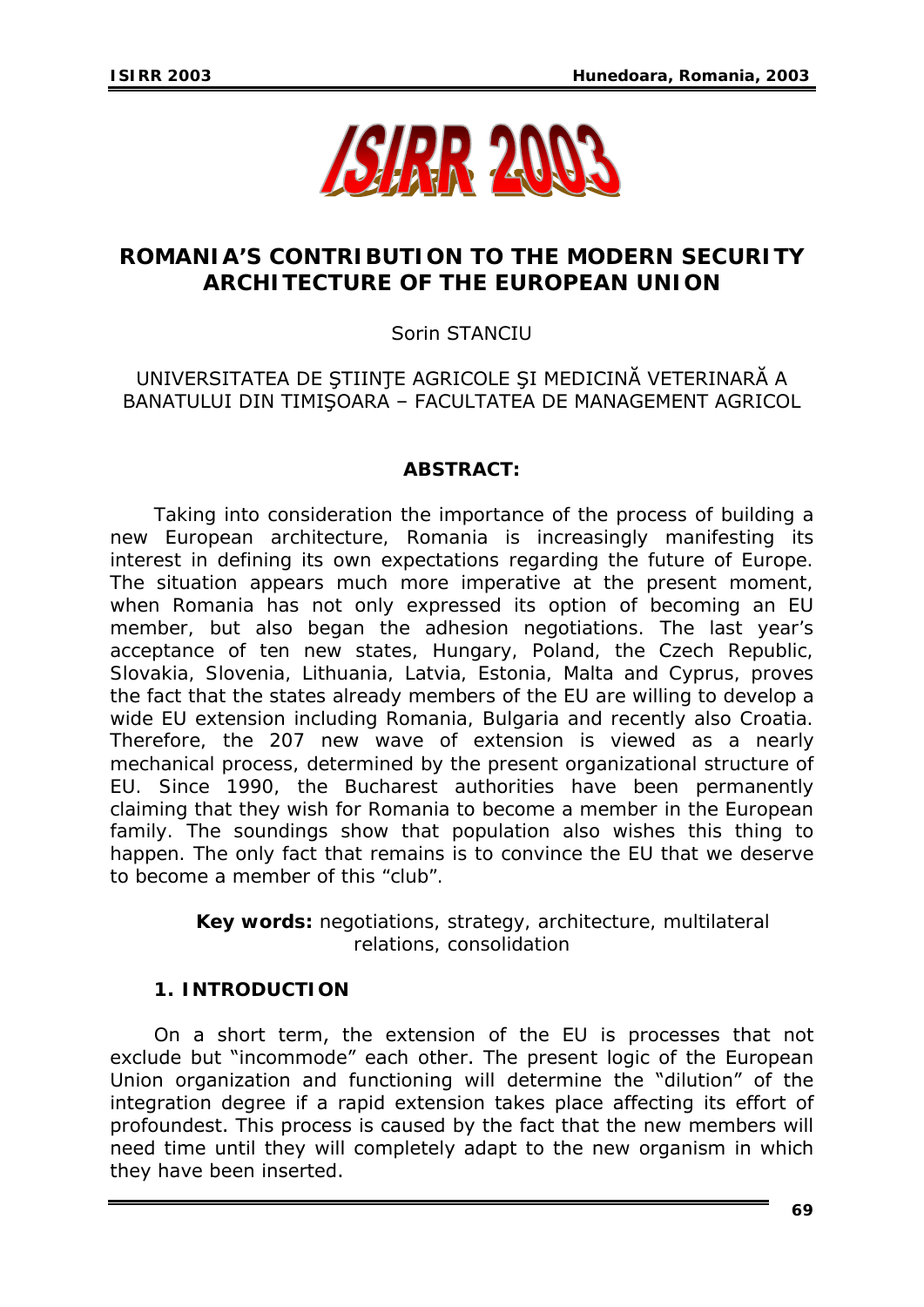

# **ROMANIA'S CONTRIBUTION TO THE MODERN SECURITY ARCHITECTURE OF THE EUROPEAN UNION**

### Sorin STANCIU

## UNIVERSITATEA DE ŞTIINŢE AGRICOLE ŞI MEDICINĂ VETERINARĂ A BANATULUI DIN TIMIŞOARA – FACULTATEA DE MANAGEMENT AGRICOL

#### *ABSTRACT:*

*Taking into consideration the importance of the process of building a new European architecture, Romania is increasingly manifesting its interest in defining its own expectations regarding the future of Europe. The situation appears much more imperative at the present moment, when Romania has not only expressed its option of becoming an EU member, but also began the adhesion negotiations. The last year's acceptance of ten new states, Hungary, Poland, the Czech Republic, Slovakia, Slovenia, Lithuania, Latvia, Estonia, Malta and Cyprus, proves the fact that the states already members of the EU are willing to develop a wide EU extension including Romania, Bulgaria and recently also Croatia. Therefore, the 207 new wave of extension is viewed as a nearly mechanical process, determined by the present organizational structure of EU. Since 1990, the Bucharest authorities have been permanently claiming that they wish for Romania to become a member in the European family. The soundings show that population also wishes this thing to happen. The only fact that remains is to convince the EU that we deserve to become a member of this "club".* 

> *Key words: negotiations, strategy, architecture, multilateral relations, consolidation*

#### **1. INTRODUCTION**

On a short term, the extension of the EU is processes that not exclude but "incommode" each other. The present logic of the European Union organization and functioning will determine the "dilution" of the integration degree if a rapid extension takes place affecting its effort of profoundest. This process is caused by the fact that the new members will need time until they will completely adapt to the new organism in which they have been inserted.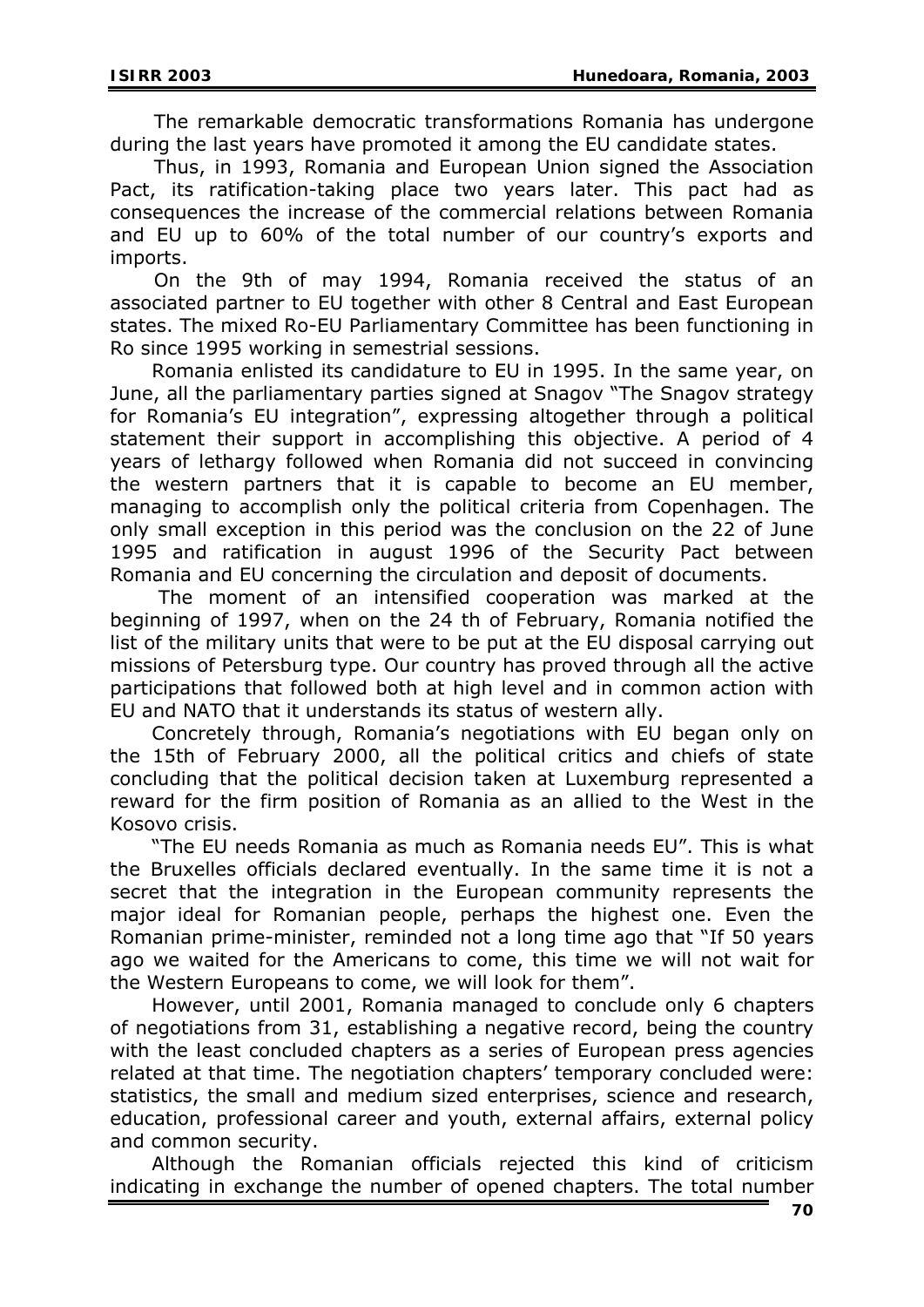The remarkable democratic transformations Romania has undergone during the last years have promoted it among the EU candidate states.

 Thus, in 1993, Romania and European Union signed the Association Pact, its ratification-taking place two years later. This pact had as consequences the increase of the commercial relations between Romania and EU up to 60% of the total number of our country's exports and imports.

 On the 9th of may 1994, Romania received the status of an associated partner to EU together with other 8 Central and East European states. The mixed Ro-EU Parliamentary Committee has been functioning in Ro since 1995 working in semestrial sessions.

Romania enlisted its candidature to EU in 1995. In the same year, on June, all the parliamentary parties signed at Snagov "The Snagov strategy for Romania's EU integration", expressing altogether through a political statement their support in accomplishing this objective. A period of 4 years of lethargy followed when Romania did not succeed in convincing the western partners that it is capable to become an EU member, managing to accomplish only the political criteria from Copenhagen. The only small exception in this period was the conclusion on the 22 of June 1995 and ratification in august 1996 of the Security Pact between Romania and EU concerning the circulation and deposit of documents.

 The moment of an intensified cooperation was marked at the beginning of 1997, when on the 24 th of February, Romania notified the list of the military units that were to be put at the EU disposal carrying out missions of Petersburg type. Our country has proved through all the active participations that followed both at high level and in common action with EU and NATO that it understands its status of western ally.

Concretely through, Romania's negotiations with EU began only on the 15th of February 2000, all the political critics and chiefs of state concluding that the political decision taken at Luxemburg represented a reward for the firm position of Romania as an allied to the West in the Kosovo crisis.

"The EU needs Romania as much as Romania needs EU". This is what the Bruxelles officials declared eventually. In the same time it is not a secret that the integration in the European community represents the major ideal for Romanian people, perhaps the highest one. Even the Romanian prime-minister, reminded not a long time ago that "If 50 years ago we waited for the Americans to come, this time we will not wait for the Western Europeans to come, we will look for them".

However, until 2001, Romania managed to conclude only 6 chapters of negotiations from 31, establishing a negative record, being the country with the least concluded chapters as a series of European press agencies related at that time. The negotiation chapters' temporary concluded were: statistics, the small and medium sized enterprises, science and research, education, professional career and youth, external affairs, external policy and common security.

Although the Romanian officials rejected this kind of criticism indicating in exchange the number of opened chapters. The total number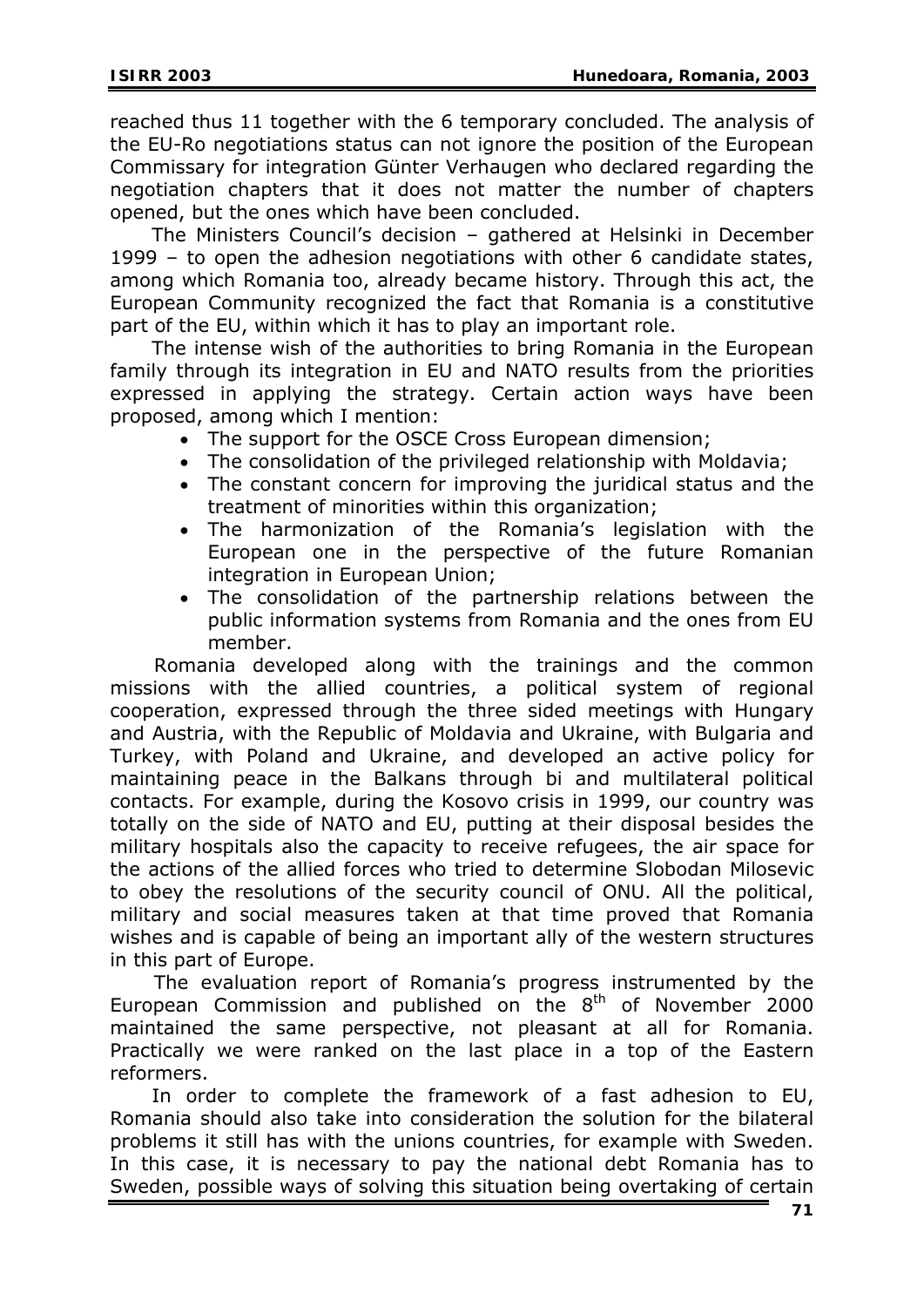reached thus 11 together with the 6 temporary concluded. The analysis of the EU-Ro negotiations status can not ignore the position of the European Commissary for integration Günter Verhaugen who declared regarding the negotiation chapters that it does not matter the number of chapters opened, but the ones which have been concluded.

The Ministers Council's decision – gathered at Helsinki in December 1999 – to open the adhesion negotiations with other 6 candidate states, among which Romania too, already became history. Through this act, the European Community recognized the fact that Romania is a constitutive part of the EU, within which it has to play an important role.

The intense wish of the authorities to bring Romania in the European family through its integration in EU and NATO results from the priorities expressed in applying the strategy. Certain action ways have been proposed, among which I mention:

- The support for the OSCE Cross European dimension;
- The consolidation of the privileged relationship with Moldavia;
- The constant concern for improving the juridical status and the treatment of minorities within this organization;
- The harmonization of the Romania's legislation with the European one in the perspective of the future Romanian integration in European Union;
- The consolidation of the partnership relations between the public information systems from Romania and the ones from EU member.

Romania developed along with the trainings and the common missions with the allied countries, a political system of regional cooperation, expressed through the three sided meetings with Hungary and Austria, with the Republic of Moldavia and Ukraine, with Bulgaria and Turkey, with Poland and Ukraine, and developed an active policy for maintaining peace in the Balkans through bi and multilateral political contacts. For example, during the Kosovo crisis in 1999, our country was totally on the side of NATO and EU, putting at their disposal besides the military hospitals also the capacity to receive refugees, the air space for the actions of the allied forces who tried to determine Slobodan Milosevic to obey the resolutions of the security council of ONU. All the political, military and social measures taken at that time proved that Romania wishes and is capable of being an important ally of the western structures in this part of Europe.

 The evaluation report of Romania's progress instrumented by the European Commission and published on the  $8<sup>th</sup>$  of November 2000 maintained the same perspective, not pleasant at all for Romania. Practically we were ranked on the last place in a top of the Eastern reformers.

In order to complete the framework of a fast adhesion to EU, Romania should also take into consideration the solution for the bilateral problems it still has with the unions countries, for example with Sweden. In this case, it is necessary to pay the national debt Romania has to Sweden, possible ways of solving this situation being overtaking of certain